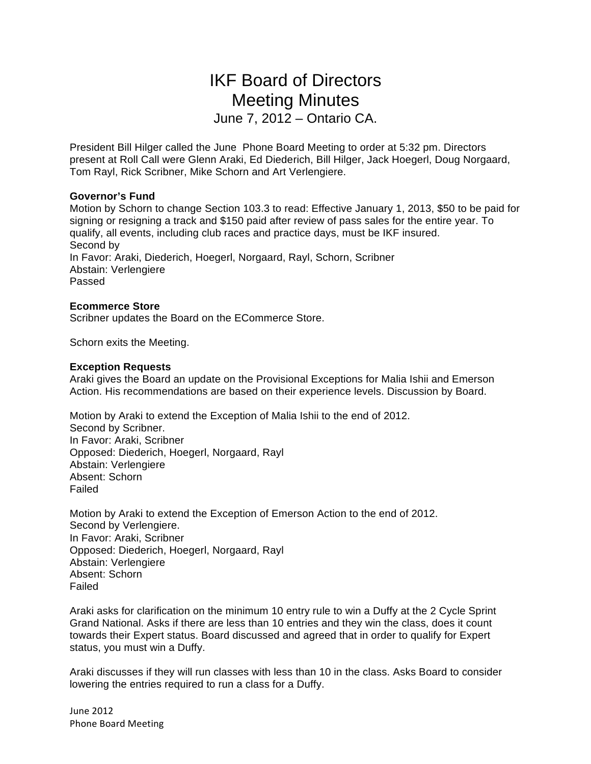# IKF Board of Directors Meeting Minutes June 7, 2012 – Ontario CA.

President Bill Hilger called the June Phone Board Meeting to order at 5:32 pm. Directors present at Roll Call were Glenn Araki, Ed Diederich, Bill Hilger, Jack Hoegerl, Doug Norgaard, Tom Rayl, Rick Scribner, Mike Schorn and Art Verlengiere.

### **Governor's Fund**

Motion by Schorn to change Section 103.3 to read: Effective January 1, 2013, \$50 to be paid for signing or resigning a track and \$150 paid after review of pass sales for the entire year. To qualify, all events, including club races and practice days, must be IKF insured. Second by In Favor: Araki, Diederich, Hoegerl, Norgaard, Rayl, Schorn, Scribner Abstain: Verlengiere Passed

#### **Ecommerce Store**

Scribner updates the Board on the ECommerce Store.

Schorn exits the Meeting.

#### **Exception Requests**

Araki gives the Board an update on the Provisional Exceptions for Malia Ishii and Emerson Action. His recommendations are based on their experience levels. Discussion by Board.

Motion by Araki to extend the Exception of Malia Ishii to the end of 2012. Second by Scribner. In Favor: Araki, Scribner Opposed: Diederich, Hoegerl, Norgaard, Rayl Abstain: Verlengiere Absent: Schorn Failed

Motion by Araki to extend the Exception of Emerson Action to the end of 2012. Second by Verlengiere. In Favor: Araki, Scribner Opposed: Diederich, Hoegerl, Norgaard, Rayl Abstain: Verlengiere Absent: Schorn Failed

Araki asks for clarification on the minimum 10 entry rule to win a Duffy at the 2 Cycle Sprint Grand National. Asks if there are less than 10 entries and they win the class, does it count towards their Expert status. Board discussed and agreed that in order to qualify for Expert status, you must win a Duffy.

Araki discusses if they will run classes with less than 10 in the class. Asks Board to consider lowering the entries required to run a class for a Duffy.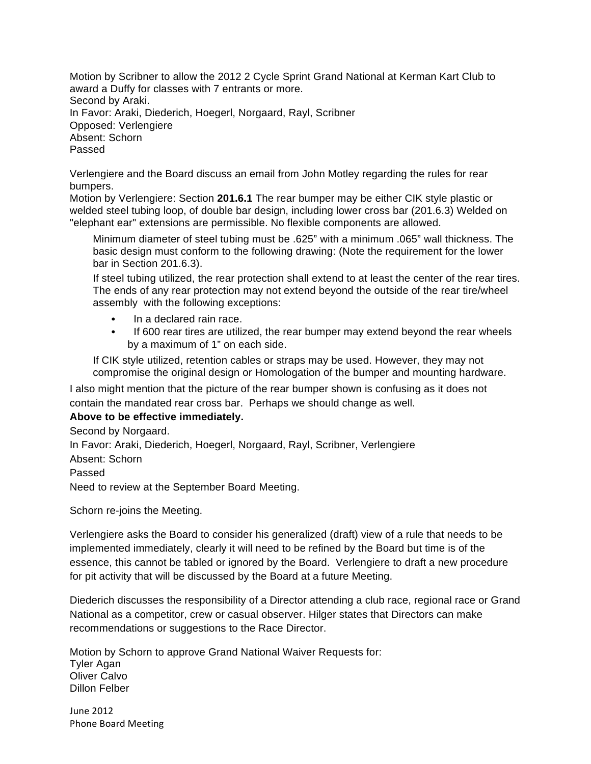Motion by Scribner to allow the 2012 2 Cycle Sprint Grand National at Kerman Kart Club to award a Duffy for classes with 7 entrants or more. Second by Araki. In Favor: Araki, Diederich, Hoegerl, Norgaard, Rayl, Scribner Opposed: Verlengiere Absent: Schorn Passed

Verlengiere and the Board discuss an email from John Motley regarding the rules for rear bumpers.

Motion by Verlengiere: Section **201.6.1** The rear bumper may be either CIK style plastic or welded steel tubing loop, of double bar design, including lower cross bar (201.6.3) Welded on "elephant ear" extensions are permissible. No flexible components are allowed.

Minimum diameter of steel tubing must be .625" with a minimum .065" wall thickness. The basic design must conform to the following drawing: (Note the requirement for the lower bar in Section 201.6.3).

If steel tubing utilized, the rear protection shall extend to at least the center of the rear tires. The ends of any rear protection may not extend beyond the outside of the rear tire/wheel assembly with the following exceptions:

- In a declared rain race.
- If 600 rear tires are utilized, the rear bumper may extend beyond the rear wheels by a maximum of 1" on each side.

If CIK style utilized, retention cables or straps may be used. However, they may not compromise the original design or Homologation of the bumper and mounting hardware.

I also might mention that the picture of the rear bumper shown is confusing as it does not contain the mandated rear cross bar. Perhaps we should change as well.

## **Above to be effective immediately.**

Second by Norgaard.

In Favor: Araki, Diederich, Hoegerl, Norgaard, Rayl, Scribner, Verlengiere Absent: Schorn

Passed

Need to review at the September Board Meeting.

Schorn re-joins the Meeting.

Verlengiere asks the Board to consider his generalized (draft) view of a rule that needs to be implemented immediately, clearly it will need to be refined by the Board but time is of the essence, this cannot be tabled or ignored by the Board. Verlengiere to draft a new procedure for pit activity that will be discussed by the Board at a future Meeting.

Diederich discusses the responsibility of a Director attending a club race, regional race or Grand National as a competitor, crew or casual observer. Hilger states that Directors can make recommendations or suggestions to the Race Director.

Motion by Schorn to approve Grand National Waiver Requests for: Tyler Agan Oliver Calvo Dillon Felber

**June 2012** Phone Board Meeting